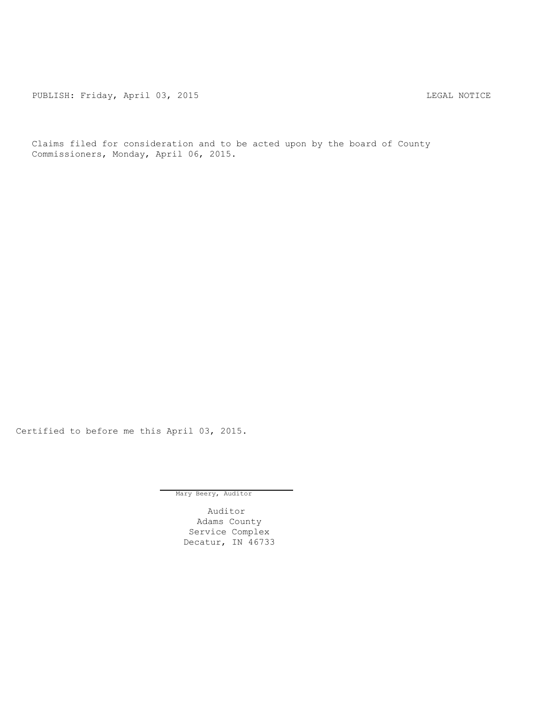PUBLISH: Friday, April 03, 2015 2015 2015

Claims filed for consideration and to be acted upon by the board of County Commissioners, Monday, April 06, 2015.

Certified to before me this April 03, 2015.

Mary Beery, Auditor

Auditor Adams County Service Complex Decatur, IN 46733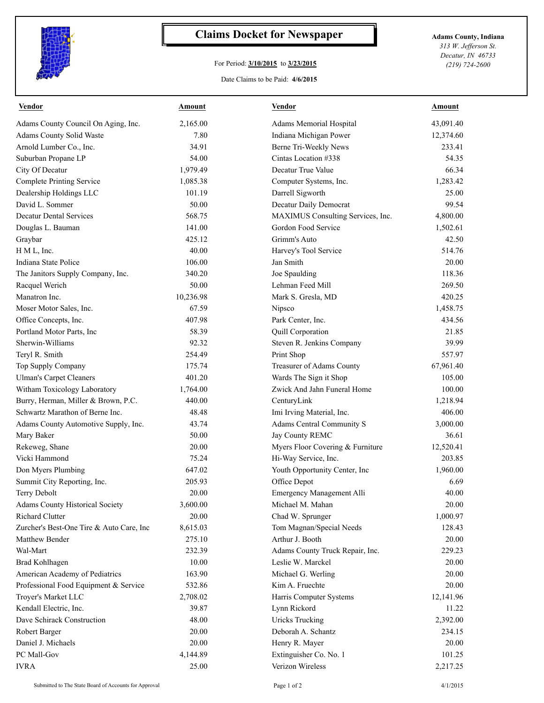

## **Claims Docket for Newspaper Adams County, Indiana**

## For Period: **3/10/2015** to **3/23/2015**

*313 W. Jefferson St. Decatur, IN 46733 (219) 724-2600*

## Date Claims to be Paid: **4/6/2015**

| <b>Vendor</b>                            | Amount    | <b>Vendor</b>                              | Amount    |
|------------------------------------------|-----------|--------------------------------------------|-----------|
| Adams County Council On Aging, Inc.      | 2.165.00  | Adams Memorial Hospital                    | 43,091.40 |
| Adams County Solid Waste                 | 7.80      | Indiana Michigan Power                     | 12,374.60 |
| Arnold Lumber Co., Inc.                  | 34.91     | Berne Tri-Weekly News                      | 233.41    |
| Suburban Propane LP                      | 54.00     | Cintas Location #338                       | 54.35     |
| City Of Decatur                          | 1,979.49  | Decatur True Value                         | 66.34     |
| <b>Complete Printing Service</b>         | 1,085.38  | Computer Systems, Inc.                     | 1,283.42  |
| Dealership Holdings LLC                  | 101.19    | Darrell Sigworth                           | 25.00     |
| David L. Sommer                          | 50.00     | Decatur Daily Democrat                     | 99.54     |
| <b>Decatur Dental Services</b>           | 568.75    | MAXIMUS Consulting Services, Inc.          | 4,800.00  |
| Douglas L. Bauman                        | 141.00    | Gordon Food Service                        | 1,502.61  |
| Graybar                                  | 425.12    | Grimm's Auto                               | 42.50     |
| H M L, Inc.                              | 40.00     | Harvey's Tool Service                      | 514.76    |
| Indiana State Police                     | 106.00    | Jan Smith                                  | 20.00     |
| The Janitors Supply Company, Inc.        | 340.20    | Joe Spaulding                              | 118.36    |
| Racquel Werich                           | 50.00     | Lehman Feed Mill                           | 269.50    |
| Manatron Inc.                            | 10,236.98 | Mark S. Gresla, MD                         | 420.25    |
| Moser Motor Sales, Inc.                  | 67.59     | Nipsco                                     | 1,458.75  |
| Office Concepts, Inc.                    | 407.98    | Park Center, Inc.                          | 434.56    |
| Portland Motor Parts, Inc.               | 58.39     | Quill Corporation                          | 21.85     |
| Sherwin-Williams                         | 92.32     | Steven R. Jenkins Company                  | 39.99     |
| Teryl R. Smith                           | 254.49    | Print Shop                                 | 557.97    |
| Top Supply Company                       | 175.74    | Treasurer of Adams County                  | 67,961.40 |
| <b>Ulman's Carpet Cleaners</b>           | 401.20    | Wards The Sign it Shop                     | 105.00    |
| Witham Toxicology Laboratory             | 1,764.00  | Zwick And Jahn Funeral Home                | 100.00    |
| Burry, Herman, Miller & Brown, P.C.      | 440.00    | CenturyLink                                | 1,218.94  |
| Schwartz Marathon of Berne Inc.          | 48.48     | Imi Irving Material, Inc.                  | 406.00    |
| Adams County Automotive Supply, Inc.     | 43.74     | Adams Central Community S                  | 3,000.00  |
| Mary Baker                               | 50.00     | Jay County REMC                            | 36.61     |
| Rekeweg, Shane                           | 20.00     | Myers Floor Covering & Furniture           | 12,520.41 |
| Vicki Hammond                            | 75.24     | Hi-Way Service, Inc.                       | 203.85    |
| Don Myers Plumbing                       | 647.02    | Youth Opportunity Center, Inc              | 1,960.00  |
| Summit City Reporting, Inc.              | 205.93    | Office Depot                               | 6.69      |
| Terry Debolt                             | 20.00     | Emergency Management Alli                  | 40.00     |
| <b>Adams County Historical Society</b>   | 3,600.00  | Michael M. Mahan                           | 20.00     |
| <b>Richard Clutter</b>                   | 20.00     | Chad W. Sprunger                           | 1,000.97  |
| Zurcher's Best-One Tire & Auto Care, Inc | 8,615.03  | Tom Magnan/Special Needs                   | 128.43    |
| Matthew Bender                           | 275.10    | Arthur J. Booth                            | 20.00     |
| Wal-Mart                                 | 232.39    | Adams County Truck Repair, Inc.            | 229.23    |
| Brad Kohlhagen                           | 10.00     | Leslie W. Marckel                          | 20.00     |
| American Academy of Pediatrics           | 163.90    | Michael G. Werling                         | 20.00     |
| Professional Food Equipment & Service    | 532.86    | Kim A. Fruechte                            | 20.00     |
| Troyer's Market LLC                      | 2,708.02  | Harris Computer Systems                    | 12,141.96 |
| Kendall Electric, Inc.                   | 39.87     | Lynn Rickord                               | 11.22     |
| Dave Schirack Construction               | 48.00     | <b>Uricks Trucking</b>                     | 2,392.00  |
| Robert Barger                            | 20.00     | Deborah A. Schantz                         | 234.15    |
| Daniel J. Michaels                       | 20.00     | Henry R. Mayer                             | 20.00     |
| PC Mall-Gov                              | 4,144.89  |                                            | 101.25    |
| <b>IVRA</b>                              | 25.00     | Extinguisher Co. No. 1<br>Verizon Wireless |           |
|                                          |           |                                            | 2,217.25  |